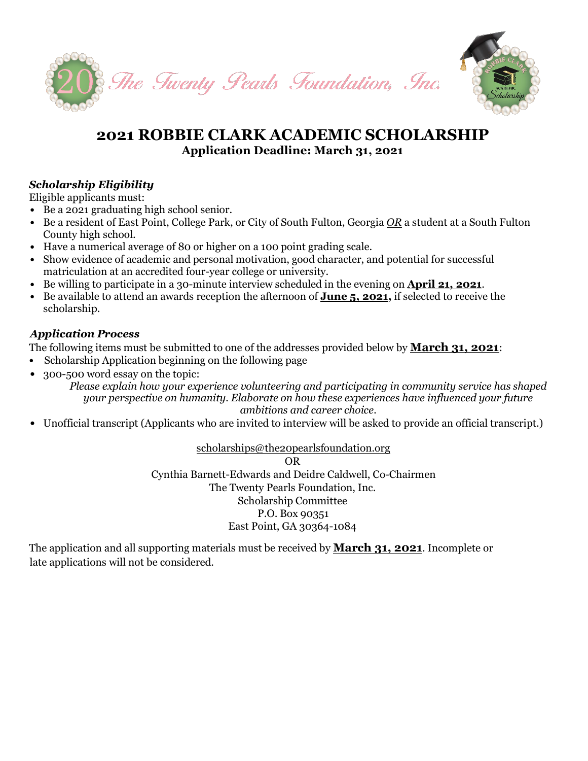

## **2021 ROBBIE CLARK ACADEMIC SCHOLARSHIP Application Deadline: March 31, 2021**

### *Scholarship Eligibility*

Eligible applicants must:

- *•* Be a 2021 graduating high school senior.
- *•* Be a resident of East Point, College Park, or City of South Fulton, Georgia *OR* a student at a South Fulton County high school.
- *•* Have a numerical average of 80 or higher on a 100 point grading scale.
- Show evidence of academic and personal motivation, good character, and potential for successful matriculation at an accredited four-year college or university.
- *•* Be willing to participate in a 30-minute interview scheduled in the evening on **April 21, 2021**.
- *•* Be available to attend an awards reception the afternoon of **June 5, 2021,** if selected to receive the scholarship.

#### *Application Process*

The following items must be submitted to one of the addresses provided below by **March 31, 2021**:

- *•* Scholarship Application beginning on the following page
- *•* 300-500 word essay on the topic:

*Please explain how your experience volunteering and participating in community service has shaped your perspective on humanity. Elaborate on how these experiences have influenced your future ambitions and career choice.*

*•* Unofficial transcript (Applicants who are invited to interview will be asked to provide an official transcript.)

[scholarships@the20pearlsfoundation.org](mailto:scholarships@the20pearlsfoundation.org)

OR Cynthia Barnett-Edwards and Deidre Caldwell, Co-Chairmen The Twenty Pearls Foundation, Inc. Scholarship Committee P.O. Box 90351 East Point, GA 30364-1084

The application and all supporting materials must be received by **March 31, 2021**. Incomplete or late applications will not be considered.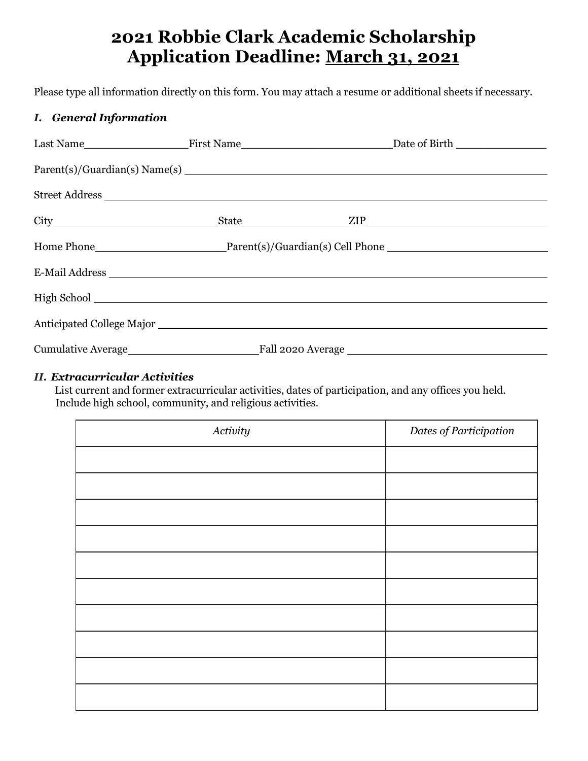# **2021 Robbie Clark Academic Scholarship Application Deadline: March 31, 2021**

Please type all information directly on this form. You may attach a resume or additional sheets if necessary.

#### *I. General Information*

| Street Address |  |
|----------------|--|
|                |  |
|                |  |
| E-Mail Address |  |
|                |  |
|                |  |
|                |  |
|                |  |

#### *II. Extracurricular Activities*

List current and former extracurricular activities, dates of participation, and any offices you held. Include high school, community, and religious activities.

| Activity | Dates of Participation |
|----------|------------------------|
|          |                        |
|          |                        |
|          |                        |
|          |                        |
|          |                        |
|          |                        |
|          |                        |
|          |                        |
|          |                        |
|          |                        |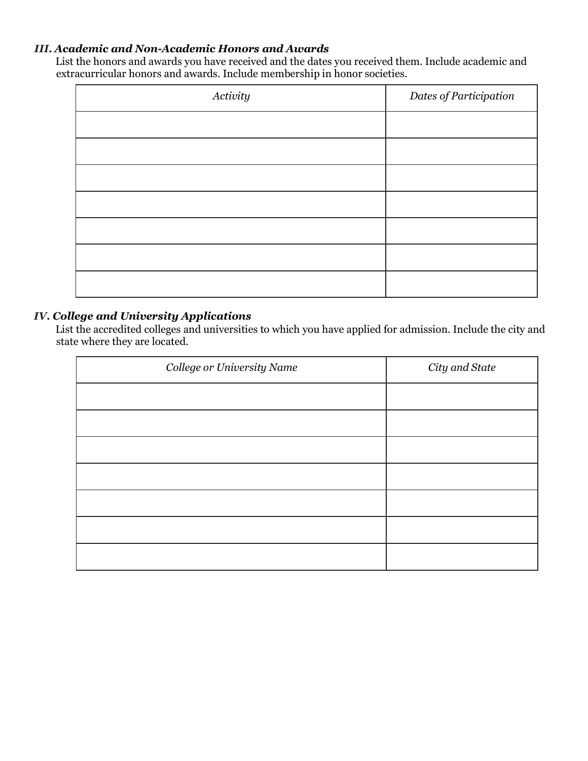#### *III. Academic and Non-Academic Honors and Awards*

List the honors and awards you have received and the dates you received them. Include academic and extracurricular honors and awards. Include membership in honor societies.

| Activity | Dates of Participation |
|----------|------------------------|
|          |                        |
|          |                        |
|          |                        |
|          |                        |
|          |                        |
|          |                        |
|          |                        |

#### *IV. College and University Applications*

List the accredited colleges and universities to which you have applied for admission. Include the city and state where they are located.

| College or University Name | City and State |
|----------------------------|----------------|
|                            |                |
|                            |                |
|                            |                |
|                            |                |
|                            |                |
|                            |                |
|                            |                |